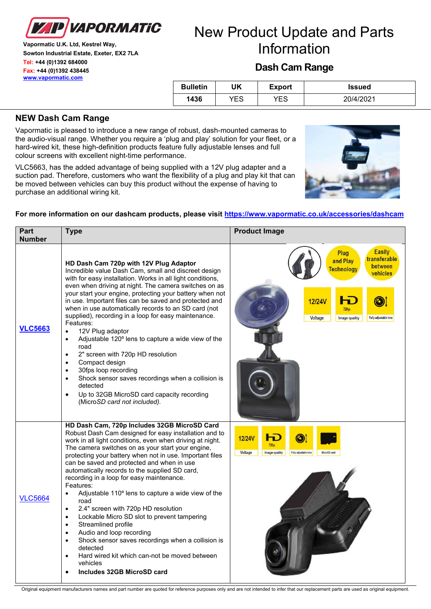

**Vapormatic U.K. Ltd, Kestrel Way, Sowton Industrial Estate, Exeter, EX2 7LA Tel: +44 (0)1392 684000 Fax: +44 (0)1392 438445 [www.vapormatic.com](http://www.vapormatic.com/)**

## New Product Update and Parts Information

## **Dash Cam Range**

| <b>Bulletin</b> | UK  | Export | <b>Issued</b> |
|-----------------|-----|--------|---------------|
| 1436            | YES | YES    | 20/4/2021     |

## **NEW Dash Cam Range**

Vapormatic is pleased to introduce a new range of robust, dash-mounted cameras to the audio-visual range. Whether you require a 'plug and play' solution for your fleet, or a hard-wired kit, these high-definition products feature fully adjustable lenses and full colour screens with excellent night-time performance.

VLC5663, has the added advantage of being supplied with a 12V plug adapter and a suction pad. Therefore, customers who want the flexibility of a plug and play kit that can be moved between vehicles can buy this product without the expense of having to purchase an additional wiring kit.



| Part<br><b>Number</b> | <b>Type</b>                                                                                                                                                                                                                                                                                                                                                                                                                                                                                                                                                                                                                                                                                                                                                                                                                                                                                                 | <b>Product Image</b>                                                                                                                                                                          |
|-----------------------|-------------------------------------------------------------------------------------------------------------------------------------------------------------------------------------------------------------------------------------------------------------------------------------------------------------------------------------------------------------------------------------------------------------------------------------------------------------------------------------------------------------------------------------------------------------------------------------------------------------------------------------------------------------------------------------------------------------------------------------------------------------------------------------------------------------------------------------------------------------------------------------------------------------|-----------------------------------------------------------------------------------------------------------------------------------------------------------------------------------------------|
| <b>VLC5663</b>        | HD Dash Cam 720p with 12V Plug Adaptor<br>Incredible value Dash Cam, small and discreet design<br>with for easy installation. Works in all light conditions,<br>even when driving at night. The camera switches on as<br>your start your engine, protecting your battery when not<br>in use. Important files can be saved and protected and<br>when in use automatically records to an SD card (not<br>supplied), recording in a loop for easy maintenance.<br>Features:<br>12V Plug adaptor<br>$\bullet$<br>Adjustable 120° lens to capture a wide view of the<br>$\bullet$<br>road<br>2" screen with 720p HD resolution<br>$\bullet$<br>Compact design<br>$\bullet$<br>30fps loop recording<br>$\bullet$<br>Shock sensor saves recordings when a collision is<br>$\bullet$<br>detected<br>Up to 32GB MicroSD card capacity recording<br>$\bullet$<br>(MicroSD card not included).                         | <b>Easily</b><br><b>Plug</b><br>transferable<br>and Play<br>between<br><b>Technology</b><br>vehicles<br><b>12/24V</b><br>720 <sub>p</sub><br>Voltage<br>Image quality<br>Fully adjustable len |
| <b>VLC5664</b>        | HD Dash Cam, 720p Includes 32GB MicroSD Card<br>Robust Dash Cam designed for easy installation and to<br>work in all light conditions, even when driving at night.<br>The camera switches on as your start your engine,<br>protecting your battery when not in use. Important files<br>can be saved and protected and when in use<br>automatically records to the supplied SD card,<br>recording in a loop for easy maintenance.<br>Features:<br>Adjustable 110° lens to capture a wide view of the<br>$\bullet$<br>road<br>2.4" screen with 720p HD resolution<br>$\bullet$<br>Lockable Micro SD slot to prevent tampering<br>$\bullet$<br>Streamlined profile<br>$\bullet$<br>Audio and loop recording<br>$\bullet$<br>Shock sensor saves recordings when a collision is<br>$\bullet$<br>detected<br>Hard wired kit which can-not be moved between<br>$\bullet$<br>vehicles<br>Includes 32GB MicroSD card | <b>12/24V</b><br>ы<br>720 <sub>p</sub><br>Voltage<br>Image quality<br>Fully adjustable len<br>MicroSD card                                                                                    |